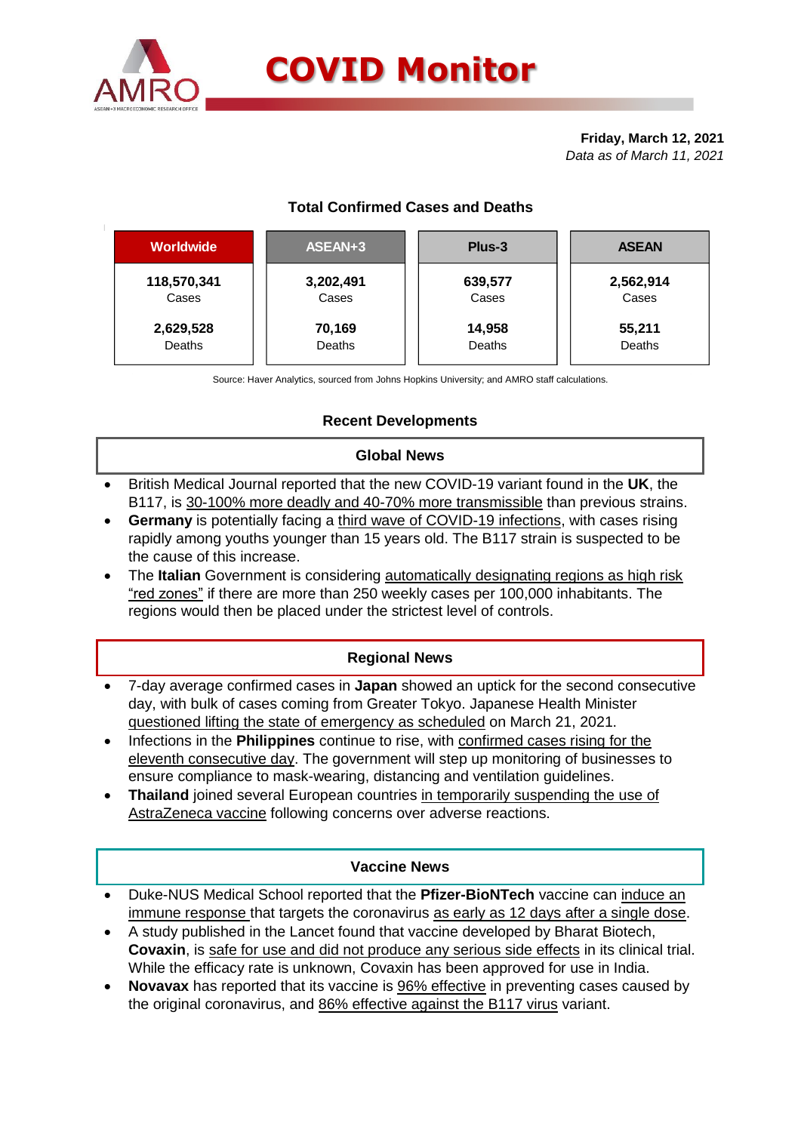

# **COVID Monitor**

**Friday, March 12, 2021** *Data as of March 11, 2021*





Source: Haver Analytics, sourced from Johns Hopkins University; and AMRO staff calculations.

# **Recent Developments**

# **Global News**

- British Medical Journal reported that the new COVID-19 variant found in the **UK**, the B117, is 30-100% more deadly and 40-70% more transmissible than previous strains.
- **Germany** is potentially facing a third wave of COVID-19 infections, with cases rising rapidly among youths younger than 15 years old. The B117 strain is suspected to be the cause of this increase.
- The **Italian** Government is considering automatically designating regions as high risk "red zones" if there are more than 250 weekly cases per 100,000 inhabitants. The regions would then be placed under the strictest level of controls.

## **Regional News**

- 7-day average confirmed cases in **Japan** showed an uptick for the second consecutive day, with bulk of cases coming from Greater Tokyo. Japanese Health Minister questioned lifting the state of emergency as scheduled on March 21, 2021.
- Infections in the **Philippines** continue to rise, with confirmed cases rising for the eleventh consecutive day. The government will step up monitoring of businesses to ensure compliance to mask-wearing, distancing and ventilation guidelines.
- **Thailand** joined several European countries in temporarily suspending the use of AstraZeneca vaccine following concerns over adverse reactions.

#### **Vaccine News**

- Duke-NUS Medical School reported that the **Pfizer-BioNTech** vaccine can induce an immune response that targets the coronavirus as early as 12 days after a single dose.
- A study published in the Lancet found that vaccine developed by Bharat Biotech, **Covaxin**, is safe for use and did not produce any serious side effects in its clinical trial. While the efficacy rate is unknown, Covaxin has been approved for use in India.
- **Novavax** has reported that its vaccine is 96% effective in preventing cases caused by the original coronavirus, and 86% effective against the B117 virus variant.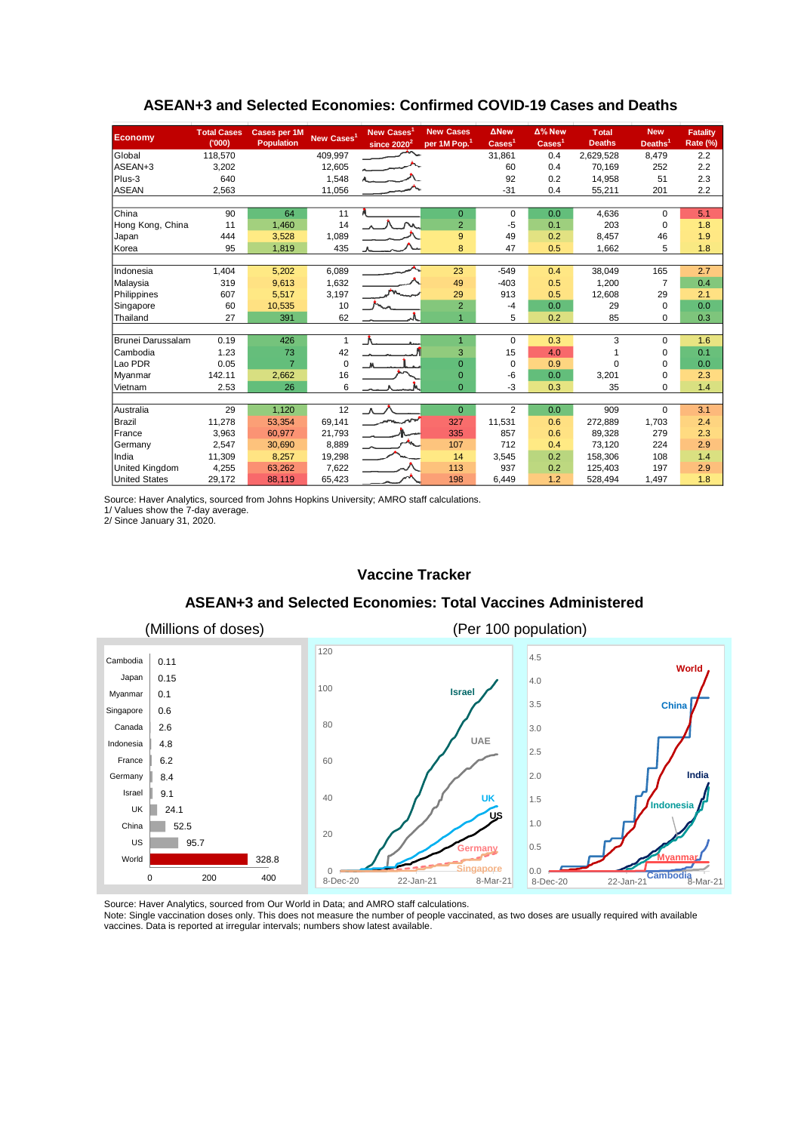| <b>Economy</b>       | <b>Total Cases</b><br>(000) | Cases per 1M<br><b>Population</b> | New Cases <sup>1</sup> | <b>New Cases</b><br>since 2020 <sup>2</sup> | <b>New Cases</b><br>per 1M Pop. <sup>1</sup> | <b>ANew</b><br>$\text{Case} \mathsf{s}^1$ | $\Delta$ % New<br>$\text{Case}$ <sup>1</sup> | <b>Total</b><br><b>Deaths</b> | <b>New</b><br>Deaths <sup>1</sup> | <b>Fatality</b><br>Rate (%) |
|----------------------|-----------------------------|-----------------------------------|------------------------|---------------------------------------------|----------------------------------------------|-------------------------------------------|----------------------------------------------|-------------------------------|-----------------------------------|-----------------------------|
| Global               | 118,570                     |                                   | 409,997                |                                             |                                              | 31,861                                    | 0.4                                          | 2,629,528                     | 8,479                             | 2.2                         |
| ASEAN+3              | 3,202                       |                                   | 12,605                 |                                             |                                              | 60                                        | 0.4                                          | 70.169                        | 252                               | 2.2                         |
| Plus-3               | 640                         |                                   | 1,548                  |                                             |                                              | 92                                        | 0.2                                          | 14,958                        | 51                                | 2.3                         |
| <b>ASEAN</b>         | 2,563                       |                                   | 11,056                 |                                             |                                              | $-31$                                     | 0.4                                          | 55,211                        | 201                               | 2.2                         |
|                      |                             |                                   |                        |                                             |                                              |                                           |                                              |                               |                                   |                             |
| China                | 90                          | 64                                | 11                     | Л.                                          | $\mathbf{0}$                                 | 0                                         | 0.0                                          | 4,636                         | $\Omega$                          | 5.1                         |
| Hong Kong, China     | 11                          | 1,460                             | 14                     |                                             | $\overline{2}$                               | $-5$                                      | 0.1                                          | 203                           | 0                                 | 1.8                         |
| Japan                | 444                         | 3,528                             | 1,089                  |                                             | 9                                            | 49                                        | 0.2                                          | 8,457                         | 46                                | 1.9                         |
| Korea                | 95                          | 1,819                             | 435                    |                                             | 8                                            | 47                                        | 0.5                                          | 1,662                         | 5                                 | 1.8                         |
|                      |                             |                                   |                        |                                             |                                              |                                           |                                              |                               |                                   |                             |
| Indonesia            | 1,404                       | 5,202                             | 6,089                  |                                             | 23                                           | $-549$                                    | 0.4                                          | 38,049                        | 165                               | 2.7                         |
| Malaysia             | 319                         | 9,613                             | 1,632                  |                                             | 49                                           | $-403$                                    | 0.5                                          | 1,200                         | $\overline{7}$                    | 0.4                         |
| Philippines          | 607                         | 5,517                             | 3,197                  |                                             | 29                                           | 913                                       | 0.5                                          | 12,608                        | 29                                | 2.1                         |
| Singapore            | 60                          | 10,535                            | 10                     |                                             | $\overline{2}$                               | $-4$                                      | 0.0                                          | 29                            | 0                                 | 0.0                         |
| Thailand             | 27                          | 391                               | 62                     |                                             | 4                                            | 5                                         | 0.2                                          | 85                            | $\mathbf 0$                       | 0.3                         |
|                      |                             |                                   |                        |                                             |                                              |                                           |                                              |                               |                                   |                             |
| Brunei Darussalam    | 0.19                        | 426                               | $\mathbf{1}$           |                                             |                                              | 0                                         | 0.3                                          | 3                             | $\Omega$                          | 1.6                         |
| Cambodia             | 1.23                        | 73                                | 42                     |                                             | 3                                            | 15                                        | 4.0                                          |                               | 0                                 | 0.1                         |
| Lao PDR              | 0.05                        | $\overline{7}$                    | $\mathbf 0$            |                                             | $\overline{0}$                               | 0                                         | 0.9                                          | $\Omega$                      | $\Omega$                          | 0.0                         |
| Myanmar              | 142.11                      | 2,662                             | 16                     |                                             | $\overline{0}$                               | -6                                        | 0.0                                          | 3,201                         | $\Omega$                          | 2.3                         |
| Vietnam              | 2.53                        | 26                                | 6                      |                                             | $\Omega$                                     | -3                                        | 0.3                                          | 35                            | 0                                 | 1.4                         |
|                      |                             |                                   |                        |                                             |                                              |                                           |                                              |                               |                                   |                             |
| Australia            | 29                          | 1,120                             | 12                     | $\Lambda$                                   | $\overline{0}$                               | $\overline{2}$                            | 0.0                                          | 909                           | $\Omega$                          | 3.1                         |
| Brazil               | 11,278                      | 53,354                            | 69,141                 |                                             | 327                                          | 11,531                                    | 0.6                                          | 272,889                       | 1,703                             | 2.4                         |
| France               | 3,963                       | 60,977                            | 21,793                 |                                             | 335                                          | 857                                       | 0.6                                          | 89,328                        | 279                               | 2.3                         |
| Germany              | 2,547                       | 30,690                            | 8,889                  |                                             | 107                                          | 712                                       | 0.4                                          | 73.120                        | 224                               | 2.9                         |
| India                | 11,309                      | 8,257                             | 19,298                 |                                             | 14                                           | 3,545                                     | 0.2                                          | 158,306                       | 108                               | 1.4                         |
| United Kingdom       | 4,255                       | 63,262                            | 7,622                  |                                             | 113                                          | 937                                       | 0.2                                          | 125,403                       | 197                               | 2.9                         |
| <b>United States</b> | 29,172                      | 88,119                            | 65,423                 |                                             | 198                                          | 6,449                                     | 1.2                                          | 528,494                       | 1,497                             | 1.8                         |

# **ASEAN+3 and Selected Economies: Confirmed COVID-19 Cases and Deaths**

Source: Haver Analytics, sourced from Johns Hopkins University; AMRO staff calculations.

1/ Values show the 7-day average.

2/ Since January 31, 2020.

#### **Vaccine Tracker**

#### **ASEAN+3 and Selected Economies: Total Vaccines Administered**



Source: Haver Analytics, sourced from Our World in Data; and AMRO staff calculations.

Note: Single vaccination doses only. This does not measure the number of people vaccinated, as two doses are usually required with available vaccines. Data is reported at irregular intervals; numbers show latest available.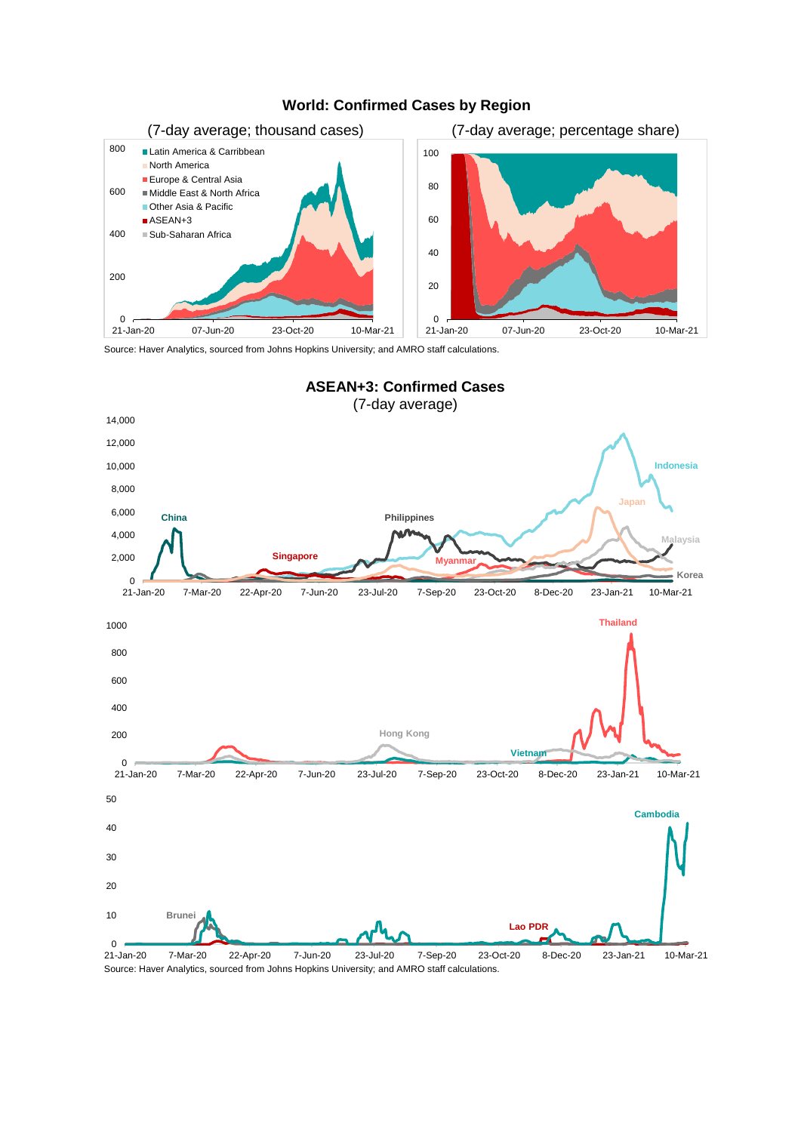

# **World: Confirmed Cases by Region**

Source: Haver Analytics, sourced from Johns Hopkins University; and AMRO staff calculations.